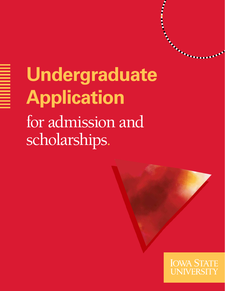# **Undergraduate Application**  for admission and scholarships.

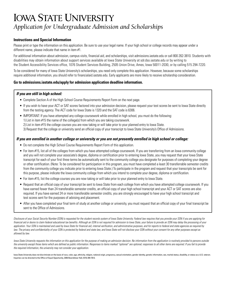# **IOWA STATE UNIVERSITY** *Application for Undergraduate Admission and Scholarships*

### **Instructions and Special Information**

Please print or type the information on this application. Be sure to use your legal name. If your high school or college records may appear under a different name, please indicate that name in item #1.

For additional information about admission, campus visits, financial aid, and scholarships, visit admissions.iastate.edu or call 800 262-3810. Students with disabilities may obtain information about support services available at Iowa State University at sdr.dso.iastate.edu or by writing to the Student Accessibility Services office, 1076 Student Services Building, 2505 Union Drive, Ames, Iowa 50011-2030, or by calling 515 294-7220.

To be considered for many of Iowa State University's scholarships, you need only complete this application. However, because some scholarships require additional information, you should refer to financialaid.iastate.edu. Early applicants are more likely to receive scholarship consideration.

#### **Go to admissions.iastate.edu/apply for admission application deadline information.**

## *If you are still in high school:*

- Complete Section A of the High School Course Requirements Report Form on the next page.
- If you wish to have your ACT or SAT scores factored into your admission decision, please request your test scores be sent to Iowa State directly from the testing agency. The ACT code for Iowa State is 1320 and the SAT code is 6306.
- IMPORTANT: If you have attempted any college coursework while enrolled in high school, you must do the following: 1) List in item #15 the name of the college(s) from which you are taking coursework. 2) List in item #15 the college courses you are now taking or will take prior to your planned entry to Iowa State. 3) Request that the college or university send an official copy of your transcript to Iowa State University's Office of Admissions.

#### *If you are enrolled in another college or university or you are not presently enrolled in high school or college:*

- Do not complete the High School Course Requirements Report Form of this application.
- For item #15, list all of the colleges from which you have attempted college coursework. If you are transferring from an Iowa community college and you will not complete your associate's degree, diploma or certification prior to entering Iowa State, you may request that your Iowa State transcript for each of your first three terms be automatically sent to the community college you designate for purposes of completing your degree or other certification. (Note: To be considered for participation in this program, you must have completed a least 30 transferrable semester credits from the community college you indicate prior to entering Iowa State.) To participate in the program and request that your transcripts be sent for this purpose, please indicate the Iowa community college from which you intend to complete your degree, diploma or certification.
- For item #15, list the college courses you are now taking or will take prior to your planned entry to lowa State.
- Request that an official copy of your transcript be sent to Iowa State from each college from which you have attempted college coursework. If you have earned fewer than 24 transferable semester credits, an official copy of your high school transcript and your ACT or SAT scores are also required. If you have earned 24 or more transferable semester credits, you are strongly encouraged to have your high school transcript and test scores sent for the purposes of advising and placement.
- After you have completed your final term of study at another college or university, you must request that an official copy of your final transcript be sent to the Office of Admissions.

*Disclosure of your Social Security Number (SSN) is requested for the student records system of Iowa State University. Federal law requires that you provide your SSN if you are applying for financial aid or desire to claim federal educational tax benefits. Although an SSN is not required for admission to Iowa State, your failure to provide an SSN may delay the processing of your*  application. Your SSN is maintained and used by lowa State for financial aid, internal verification, and administrative purposes, and for reports to federal and state agencies as required by law. The privacy and confidentiality of your SSN is protected by federal and state law, and lowa State will not disclose your SSN without your consent for any other purposes except as *allowed by law.* 

*Iowa State University requests the information on this application for the purpose of making an admission decision. No information from the application is routinely provided to persons outside the university except those items which are defined as public information. Responses to items marked "optional" are optional; responses to all other items are required. If you fail to provide the required information, the university may not consider your application.*

lowa State University does not discriminate on the basis of race, color, age, ethnicity, religion, national origin, pregnancy, sexual orientation, gender identity, genetic information, sex, marital status, disability, or s Inquiries can be directed to the Office of Equal Opportunity, 3350 Beardshear Hall, (515) 294-7612.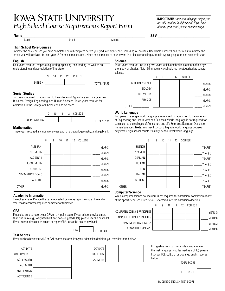# **IOWA STATE UNIVERSITY**<br>*High School Course Requirements Report Form already graduated, please skip this page.*

**IMPORTANT:** *Complete this page only if you* 

#### **Name\_\_\_\_\_\_\_\_\_\_\_\_\_\_\_\_\_\_\_\_\_\_\_\_\_\_\_\_\_\_\_\_\_\_\_\_\_\_\_\_\_\_\_\_\_\_\_\_\_\_\_\_\_\_\_\_\_\_\_\_\_\_\_\_\_\_\_\_\_ SS # \_\_\_\_\_\_\_\_\_\_\_\_\_\_\_\_\_\_\_\_\_\_\_\_\_\_\_\_\_**

(Last) (First) (Middle)

#### **High School Core Courses**

Indicate the core courses you have completed or will complete before you graduate high school, including AP courses. Use whole numbers and decimals to indicate the credit you will receive (1 for one year, .5 for one semester, etc.). Note: one semester of coursework in a block scheduling system is typically equal to one academic year.

#### **English**

Four years required, emphasizing writing, speaking, and reading, as well as an understanding and appreciation of literature.



#### **Social Studies**

Two years required for admission to the colleges of Agriculture and Life Sciences, Business, Design, Engineering, and Human Sciences. Three years required for admission to the College of Liberal Arts and Sciences.



#### **Mathematics**

Three years required, including one year each of algebra I, geometry, and algebra II.



#### **Academic Information**

Do not estimate. Provide the data requested below as report to you at the end of your most recently completed semester or trimester.

#### **GPA**

Please be sure to report your GPA on a 4-point scale. If your school provides more than one GPA (e.g., weighted GPA and non-weighted GPA), please use the best GPA. If your school does not calculate or report GPA, leave the box below blank.

GPA | 0UT OF 4.00

SAT DATE SAT EBRW SAT MATH

#### **Test Scores**

If you wish to have your ACT or SAT scores factored into your admission decision, you may list them below:

| <b>ACT DATE</b>      |  |  |
|----------------------|--|--|
| <b>ACT COMPOSITE</b> |  |  |
| <b>ACT ENGLISH</b>   |  |  |
| <b>ACT MATH</b>      |  |  |
| <b>ACT READING</b>   |  |  |
| <b>ACT SCIENCE</b>   |  |  |
|                      |  |  |

#### **Science**

Three years required, including two years which emphasize elements of biology, chemistry, or physics. Note: 9th grade physical science is categorized as general science.



#### **World Language**

Two years of a single world language are required for admission to the colleges of Engineering and Liberal Arts and Sciences. World language is not required for admission to the colleges of Agriculture and Life Sciences, Business, Design, or Human Sciences. **Note:** You may list your 8th grade world language courses *only* if your high school counts it as high school-level world language.



#### **Computer Science**

While computer science coursework is not required for admission, completion of any of the specific courses listed below is factored into the admission decision.

|                             |  |  | 11 12 COLLEGE |         |
|-----------------------------|--|--|---------------|---------|
| COMPUTER SCIENCE PRINCIPLES |  |  |               | YEAR(S) |
| AP COMPUTER SCI PRINCIPLES  |  |  |               | YEAR(S) |
| AP COMPUTER SCIENCE A       |  |  |               | YEAR(S) |
| <b>IB COMPUTER SCIENCE</b>  |  |  |               | YEAR(S) |

| If English is not your primary language (one of     |  |
|-----------------------------------------------------|--|
| the first languages you learned as a child), please |  |
| list your TOEFL, IELTS, or Duolingo English scores  |  |
| below.                                              |  |

TOEFL SCORE

IELTS SCORE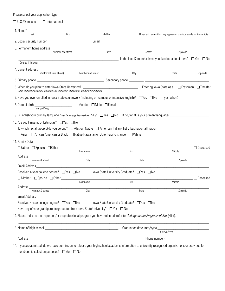Please select your application type:

 $\square$  U.S./Domestic  $\square$  International

| Last                                                                                                                                                                   | First             | Middle    |                                            | Other last names that may appear on previous academic transcripts                                                         |                        |
|------------------------------------------------------------------------------------------------------------------------------------------------------------------------|-------------------|-----------|--------------------------------------------|---------------------------------------------------------------------------------------------------------------------------|------------------------|
|                                                                                                                                                                        |                   |           |                                            |                                                                                                                           |                        |
| 3. Permanent home address                                                                                                                                              |                   |           |                                            |                                                                                                                           |                        |
|                                                                                                                                                                        | Number and street | $City^*$  |                                            | State*                                                                                                                    | $\overline{Z}$ ip code |
|                                                                                                                                                                        |                   |           |                                            | $\blacksquare$ $\blacksquare$ $\blacksquare$ and the last 12 months, have you lived outside of lowa? $\Box$ Yes $\Box$ No |                        |
| County, if in lowa                                                                                                                                                     |                   |           |                                            |                                                                                                                           |                        |
|                                                                                                                                                                        |                   |           | City                                       | State                                                                                                                     | Zip code               |
| 5. Primary phone (Channel Company of Channel Company Secondary phone (Channel Company of Channel Company of Ch                                                         |                   |           |                                            |                                                                                                                           |                        |
| 6. When do you plan to enter lowa State University? ____________________________<br>Go to admissions.iastate.edu/apply for admission application deadline information. |                   |           |                                            | Entering lowa State as a: □ Freshman □ Transfer                                                                           |                        |
| 7. Have you ever enrolled in lowa State coursework (including off-campus or intensive English)? $\Box$ Yes $\Box$ No If yes, when?                                     |                   |           |                                            |                                                                                                                           |                        |
| 8. Date of birth Gender □ Male □ Female<br>mm/dd/vvvv                                                                                                                  |                   |           |                                            |                                                                                                                           |                        |
| 9. Is English your primary language <i>(first language learned as child)</i> ? $\Box$ Yes $\Box$ No If no, what is your primary language?                              |                   |           |                                            |                                                                                                                           |                        |
| 10. Are you Hispanic or Latino/a? $\dagger$ $\square$ Yes $\square$ No                                                                                                 |                   |           |                                            |                                                                                                                           |                        |
| To which racial group(s) do you belong? $\Box$ Alaskan Native $\Box$ American Indian - list tribal/nation affiliation                                                  |                   |           |                                            |                                                                                                                           |                        |
| □ Asian □ African American or Black □ Native Hawaiian or Other Pacific Islander □ White                                                                                |                   |           |                                            |                                                                                                                           |                        |
| 11. Family Data                                                                                                                                                        |                   |           |                                            |                                                                                                                           |                        |
| $\Box$ Father $\Box$ Spouse $\Box$ Other $\_\_\_\_\_\_\_\_\_\_\_\_$                                                                                                    |                   |           |                                            |                                                                                                                           | □ Deceased             |
|                                                                                                                                                                        |                   | Last name | First                                      | Middle                                                                                                                    |                        |
|                                                                                                                                                                        |                   |           |                                            |                                                                                                                           |                        |
|                                                                                                                                                                        |                   |           | State                                      |                                                                                                                           | Zip code               |
| Address <u>Number &amp; street City</u><br>Email Address et al. 2004 and 2006 and 2007 and 2008 and 2008 and 2008 and 2008 and 2008 and 2008 and 2008 and              |                   |           |                                            |                                                                                                                           |                        |
| Received 4-year college degree? $\Box$ Yes $\Box$ No                                                                                                                   |                   |           | lowa State University Graduate? □ Yes □ No |                                                                                                                           |                        |
| $\Box$ Mother $\Box$ Spouse $\Box$ Other $\Box$                                                                                                                        |                   |           |                                            |                                                                                                                           | $\Box$ Deceased        |
|                                                                                                                                                                        |                   | Last name | First                                      | Middle                                                                                                                    |                        |
| Address<br>Number & street                                                                                                                                             |                   | City      | State                                      |                                                                                                                           | Zip code               |
| Email Address                                                                                                                                                          |                   |           |                                            |                                                                                                                           |                        |
| Received 4-year college degree? □ Yes □ No                                                                                                                             |                   |           | lowa State University Graduate? □ Yes □ No |                                                                                                                           |                        |
| Have any of your grandparents graduated from lowa State University? $\Box$ Yes $\Box$ No                                                                               |                   |           |                                            |                                                                                                                           |                        |
|                                                                                                                                                                        |                   |           |                                            |                                                                                                                           |                        |
| 12. Please indicate the major and/or preprofessional program you have selected (refer to Undergraduate Programs of Study list).                                        |                   |           |                                            |                                                                                                                           |                        |
|                                                                                                                                                                        |                   |           |                                            | mm/dd/vwv<br>Phone number (                                                                                               |                        |

membership selection purposes?  $\Box$  Yes  $\Box$  No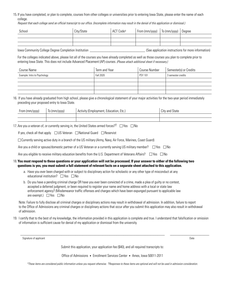15. If you have completed, or plan to complete, courses from other colleges or universities prior to entering Iowa State, please enter the name of each college.

*Request that each college send an official transcript to our office. (Incomplete information may result in the denial of this application or dismissal.)*

| School | City/State | ACT Codet | <sub>l</sub> From (mm/yyyy) | To (mm/yyyy) | Degree |
|--------|------------|-----------|-----------------------------|--------------|--------|
|        |            |           |                             |              |        |
|        |            |           |                             |              |        |
|        |            |           |                             |              |        |

Iowa Community College Degree Completion Institution **Exercise 2018** (See application instructions for more information)

For the colleges indicated above, please list all of the courses you have already completed as well as those courses you plan to complete prior to entering Iowa State. This does not include Advanced Placement (AP) courses. *(Please attach additional sheet if necessary.)*

| Course Name                  | Term and Year | Course Number  | Semester(s) or Credits |
|------------------------------|---------------|----------------|------------------------|
| Example: Intro to Psychology | Fall 2020     | <b>PSY 101</b> | 3 semester credits     |
|                              |               |                |                        |
|                              |               |                |                        |
|                              |               |                |                        |
|                              |               |                |                        |

16. If you have already graduated from high school, please give a chronological statement of your major activities for the two-year period immediately preceding your proposed entry to Iowa State.

| From (mm/yyyy) | To (mm/yyyy) | , Activity (Employment, Education, Etc.) | City and State |
|----------------|--------------|------------------------------------------|----------------|
|                |              |                                          |                |
|                |              |                                          |                |

17. Are you a veteran of, or currently serving in, the United States armed forces?<sup>†</sup>  $\Box$  Yes  $\Box$  No

If yes, check all that apply.  $\Box$  US Veteran  $\Box$  National Guard  $\Box$  Reservist

Currently serving active duty in a branch of the US military (Army, Navy, Air Force, Marines, Coast Guard)

Are you a child or spouse/domestic partner of a US Veteran or a currently serving US military member?  $\Box$  Yes  $\Box$  No

Are you eligible to receive military education benefits from the U.S. Department of Veterans Affairs?  $\Box$  Yes  $\Box$  No

#### 18.**You must respond to these questions or your application will not be processed. If your answer to either of the following two questions is yes, you must submit a full statement of relevant facts on a separate sheet attached to this application.**

- a. Have you ever been charged with or subject to disciplinary action for scholastic or any other type of misconduct at any educational institution?  $\Box$  Yes  $\Box$  No
- b. Do you have a pending criminal charge OR have you ever been convicted of a crime, made a plea of guilty or no contest, accepted a deferred judgment, or been required to register your name and home address with a local or state law enforcement agency? (Misdemeanor traffic offenses and charges which have been expunged pursuant to applicable law are exempt.)  $\Box$  Yes  $\Box$  No

 Note: Failure to fully disclose all criminal charges or disciplinary actions may result in withdrawal of admission. In addition, failure to report to the Office of Admissions any criminal charges or disciplinary actions that occur after you submit this application may also result in withdrawal of admission.

19. I certify that to the best of my knowledge, the information provided in this application is complete and true. I understand that falsification or omission of information is sufficient cause for denial of my application or dismissal from the university.

Signature of applicant Date of the control of the control of the control of the control of the control of the control of the control of the control of the control of the control of the control of the control of the control

Submit this application, your application fee (\$40), and all required transcripts to:

 $\_$  ,  $\_$  ,  $\_$  ,  $\_$  ,  $\_$  ,  $\_$  ,  $\_$  ,  $\_$  ,  $\_$  ,  $\_$  ,  $\_$  ,  $\_$  ,  $\_$  ,  $\_$  ,  $\_$  ,  $\_$  ,  $\_$  ,  $\_$  ,  $\_$  ,  $\_$  ,  $\_$  ,  $\_$  ,  $\_$  ,  $\_$  ,  $\_$  ,  $\_$  ,  $\_$  ,  $\_$  ,  $\_$  ,  $\_$  ,  $\_$  ,  $\_$  ,  $\_$  ,  $\_$  ,  $\_$  ,  $\_$  ,  $\_$  ,

Office of Admissions • Enrollment Services Center • Ames, Iowa 50011-2011

*\*These items are considered public information unless you request otherwise. †Responses to these items are optional and will not be used in admission consideration.*